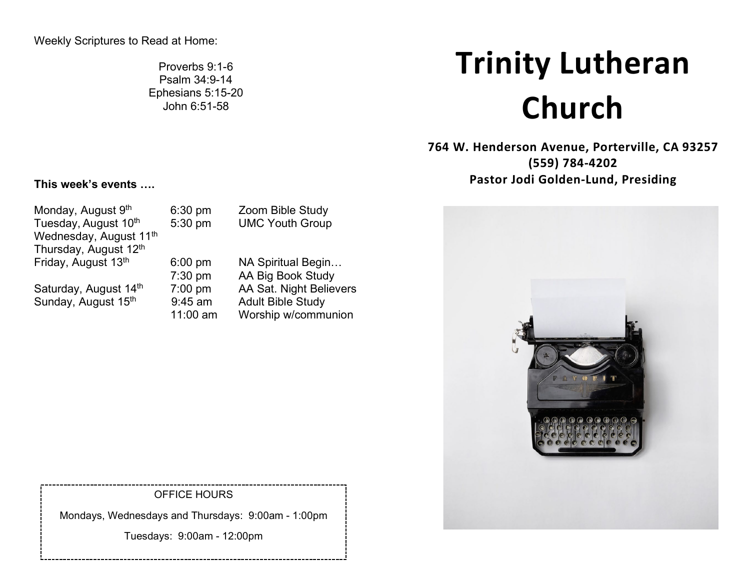Proverbs 9:1-6 Psalm 34:9-14 Ephesians 5:15-20 John 6:51-58

# **Trinity Lutheran Church**

**764 W. Henderson Avenue, Porterville, CA 93257 (559) 784-4202 Pastor Jodi Golden-Lund, Presiding**

## **This week's events ….**

Monday, August 9<sup>th</sup> 6:30 pm Zoom Bible Study Tuesday, August 10<sup>th</sup> 5:30 pm UMC Youth Group Wednesday, August 11<sup>th</sup> Thursday, August 12<sup>th</sup><br>Friday, August 13<sup>th</sup> Saturday, August  $14^{th}$  7:00 pm AA Sat. Night Believers<br>Sunday, August  $15^{th}$  9:45 am Adult Bible Study Sunday, August  $15<sup>th</sup>$  9:45 am

6:00 pm NA Spiritual Begin... 7:30 pm AA Big Book Study 11:00 am Worship w/communion

OFFICE HOURS

Mondays, Wednesdays and Thursdays: 9:00am - 1:00pm

Tuesdays: 9:00am - 12:00pm